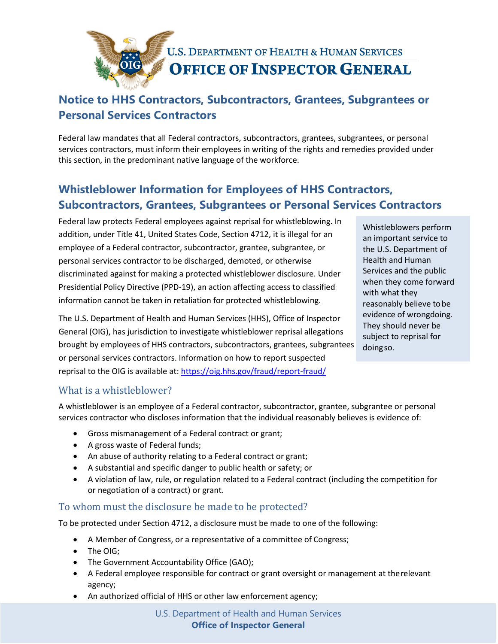

# **Notice to HHS Contractors, Subcontractors, Grantees, Subgrantees or Personal Services Contractors**

Federal law mandates that all Federal contractors, subcontractors, grantees, subgrantees, or personal services contractors, must inform their employees in writing of the rights and remedies provided under this section, in the predominant native language of the workforce.

# **Whistleblower Information for Employees of HHS Contractors, Subcontractors, Grantees, Subgrantees or Personal Services Contractors**

Federal law protects Federal employees against reprisal for whistleblowing. In addition, under Title 41, United States Code, Section 4712, it is illegal for an employee of a Federal contractor, subcontractor, grantee, subgrantee, or personal services contractor to be discharged, demoted, or otherwise discriminated against for making a protected whistleblower disclosure. Under Presidential Policy Directive (PPD-19), an action affecting access to classified information cannot be taken in retaliation for protected whistleblowing.

The U.S. Department of Health and Human Services (HHS), Office of Inspector General (OIG), has jurisdiction to investigate whistleblower reprisal allegations brought by employees of HHS contractors, subcontractors, grantees, subgrantees or personal services contractors. Information on how to report suspected reprisal to the OIG is available at[: https://oig.hhs.gov/fraud/report-fraud/](https://oig.hhs.gov/fraud/report-fraud/)

Whistleblowers perform an important service to the U.S. Department of Health and Human Services and the public when they come forward with what they reasonably believe tobe evidence of wrongdoing. They should never be subject to reprisal for doingso.

## What is a whistleblower?

A whistleblower is an employee of a Federal contractor, subcontractor, grantee, subgrantee or personal services contractor who discloses information that the individual reasonably believes is evidence of:

- Gross mismanagement of a Federal contract or grant;
- A gross waste of Federal funds;
- An abuse of authority relating to a Federal contract or grant;
- A substantial and specific danger to public health or safety; or
- A violation of law, rule, or regulation related to a Federal contract (including the competition for or negotiation of a contract) or grant.

## To whom must the disclosure be made to be protected?

To be protected under Section 4712, a disclosure must be made to one of the following:

- A Member of Congress, or a representative of a committee of Congress;
- The OIG;
- The Government Accountability Office (GAO);
- A Federal employee responsible for contract or grant oversight or management at therelevant agency;
- An authorized official of HHS or other law enforcement agency;